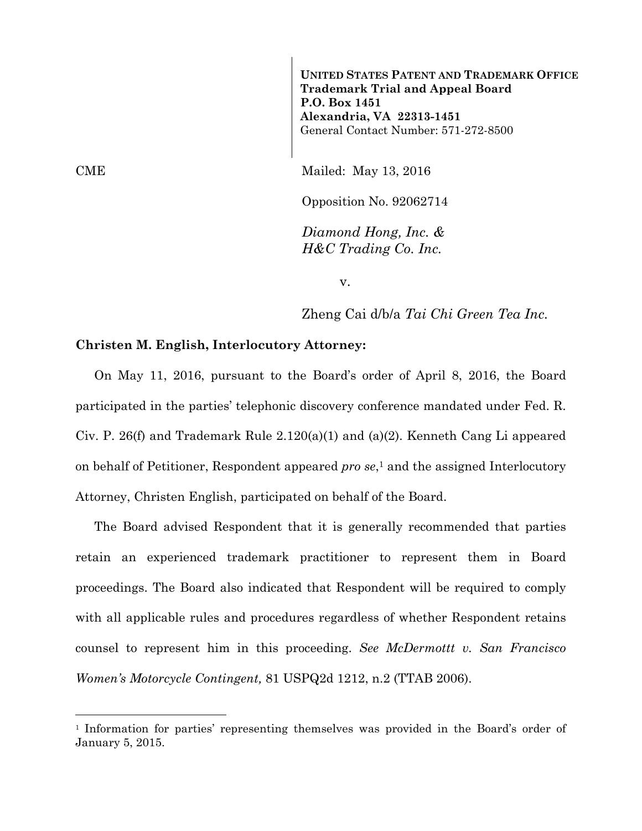**UNITED STATES PATENT AND TRADEMARK OFFICE Trademark Trial and Appeal Board P.O. Box 1451 Alexandria, VA 22313-1451**  General Contact Number: 571-272-8500

CME Mailed: May 13, 2016

Opposition No. 92062714

*Diamond Hong, Inc. & H&C Trading Co. Inc.* 

v.

Zheng Cai d/b/a *Tai Chi Green Tea Inc.*

## **Christen M. English, Interlocutory Attorney:**

On May 11, 2016, pursuant to the Board's order of April 8, 2016, the Board participated in the parties' telephonic discovery conference mandated under Fed. R. Civ. P. 26(f) and Trademark Rule 2.120(a)(1) and (a)(2). Kenneth Cang Li appeared on behalf of Petitioner, Respondent appeared *pro se*,1 and the assigned Interlocutory Attorney, Christen English, participated on behalf of the Board.

The Board advised Respondent that it is generally recommended that parties retain an experienced trademark practitioner to represent them in Board proceedings. The Board also indicated that Respondent will be required to comply with all applicable rules and procedures regardless of whether Respondent retains counsel to represent him in this proceeding. *See McDermottt v. San Francisco Women's Motorcycle Contingent,* 81 USPQ2d 1212, n.2 (TTAB 2006).

<sup>1</sup> Information for parties' representing themselves was provided in the Board's order of January 5, 2015.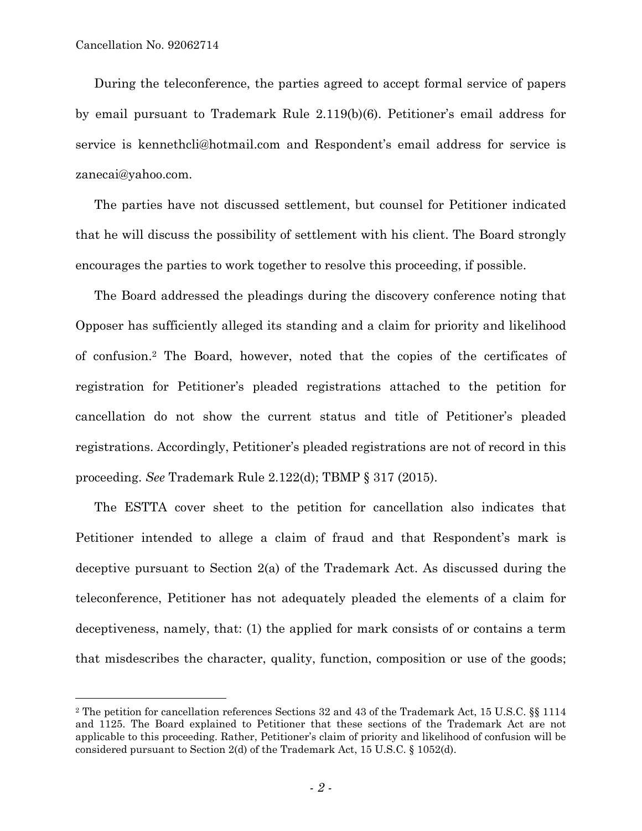È,

During the teleconference, the parties agreed to accept formal service of papers by email pursuant to Trademark Rule 2.119(b)(6). Petitioner's email address for service is kennethcli@hotmail.com and Respondent's email address for service is zanecai@yahoo.com.

The parties have not discussed settlement, but counsel for Petitioner indicated that he will discuss the possibility of settlement with his client. The Board strongly encourages the parties to work together to resolve this proceeding, if possible.

The Board addressed the pleadings during the discovery conference noting that Opposer has sufficiently alleged its standing and a claim for priority and likelihood of confusion.2 The Board, however, noted that the copies of the certificates of registration for Petitioner's pleaded registrations attached to the petition for cancellation do not show the current status and title of Petitioner's pleaded registrations. Accordingly, Petitioner's pleaded registrations are not of record in this proceeding. *See* Trademark Rule 2.122(d); TBMP § 317 (2015).

The ESTTA cover sheet to the petition for cancellation also indicates that Petitioner intended to allege a claim of fraud and that Respondent's mark is deceptive pursuant to Section 2(a) of the Trademark Act. As discussed during the teleconference, Petitioner has not adequately pleaded the elements of a claim for deceptiveness, namely, that: (1) the applied for mark consists of or contains a term that misdescribes the character, quality, function, composition or use of the goods;

<sup>2</sup> The petition for cancellation references Sections 32 and 43 of the Trademark Act, 15 U.S.C. §§ 1114 and 1125. The Board explained to Petitioner that these sections of the Trademark Act are not applicable to this proceeding. Rather, Petitioner's claim of priority and likelihood of confusion will be considered pursuant to Section 2(d) of the Trademark Act, 15 U.S.C. § 1052(d).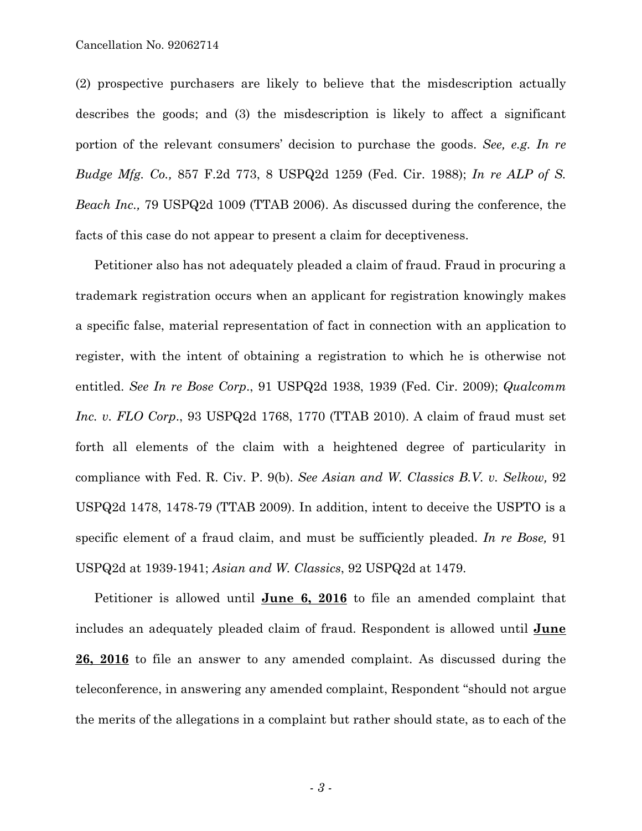Cancellation No. 92062714

(2) prospective purchasers are likely to believe that the misdescription actually describes the goods; and (3) the misdescription is likely to affect a significant portion of the relevant consumers' decision to purchase the goods. *See, e.g. In re Budge Mfg. Co.,* 857 F.2d 773, 8 USPQ2d 1259 (Fed. Cir. 1988); *In re ALP of S. Beach Inc.,* 79 USPQ2d 1009 (TTAB 2006). As discussed during the conference, the facts of this case do not appear to present a claim for deceptiveness.

Petitioner also has not adequately pleaded a claim of fraud. Fraud in procuring a trademark registration occurs when an applicant for registration knowingly makes a specific false, material representation of fact in connection with an application to register, with the intent of obtaining a registration to which he is otherwise not entitled. *See In re Bose Corp*., 91 USPQ2d 1938, 1939 (Fed. Cir. 2009); *Qualcomm Inc. v. FLO Corp*., 93 USPQ2d 1768, 1770 (TTAB 2010). A claim of fraud must set forth all elements of the claim with a heightened degree of particularity in compliance with Fed. R. Civ. P. 9(b). *See Asian and W. Classics B.V. v. Selkow,* 92 USPQ2d 1478, 1478-79 (TTAB 2009). In addition, intent to deceive the USPTO is a specific element of a fraud claim, and must be sufficiently pleaded. *In re Bose,* 91 USPQ2d at 1939-1941; *Asian and W. Classics*, 92 USPQ2d at 1479.

Petitioner is allowed until **June 6, 2016** to file an amended complaint that includes an adequately pleaded claim of fraud. Respondent is allowed until **June 26, 2016** to file an answer to any amended complaint. As discussed during the teleconference, in answering any amended complaint, Respondent "should not argue the merits of the allegations in a complaint but rather should state, as to each of the

*- 3 -*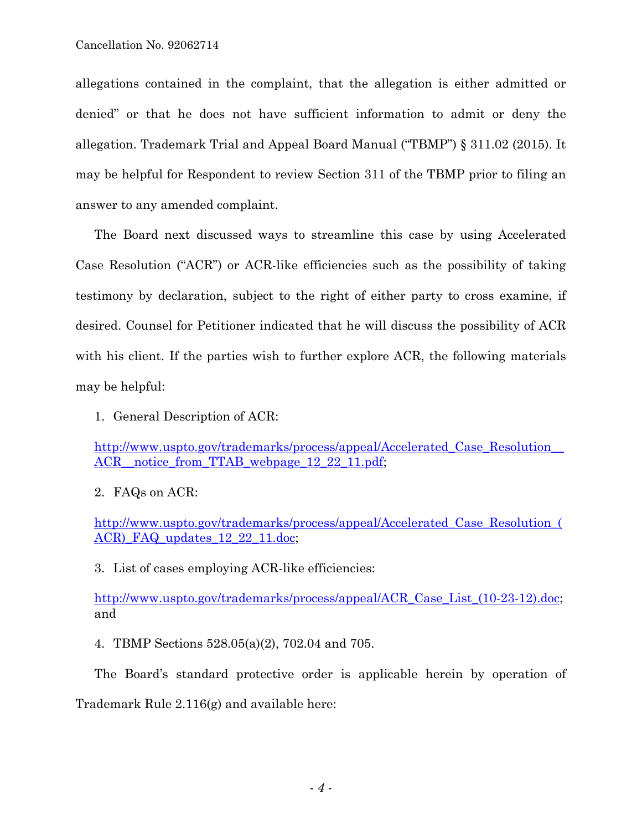allegations contained in the complaint, that the allegation is either admitted or denied" or that he does not have sufficient information to admit or deny the allegation. Trademark Trial and Appeal Board Manual ("TBMP") § 311.02 (2015). It may be helpful for Respondent to review Section 311 of the TBMP prior to filing an answer to any amended complaint.

The Board next discussed ways to streamline this case by using Accelerated Case Resolution ("ACR") or ACR-like efficiencies such as the possibility of taking testimony by declaration, subject to the right of either party to cross examine, if desired. Counsel for Petitioner indicated that he will discuss the possibility of ACR with his client. If the parties wish to further explore ACR, the following materials may be helpful:

1. General Description of ACR:

http://www.uspto.gov/trademarks/process/appeal/Accelerated Case Resolution ACR\_notice\_from\_TTAB\_webpage\_12\_22\_11.pdf;

2. FAQs on ACR:

http://www.uspto.gov/trademarks/process/appeal/Accelerated\_Case\_Resolution\_( ACR) FAQ updates 12 22 11.doc;

3. List of cases employing ACR-like efficiencies:

http://www.uspto.gov/trademarks/process/appeal/ACR\_Case\_List\_(10-23-12).doc; and

4. TBMP Sections 528.05(a)(2), 702.04 and 705.

The Board's standard protective order is applicable herein by operation of

Trademark Rule 2.116(g) and available here: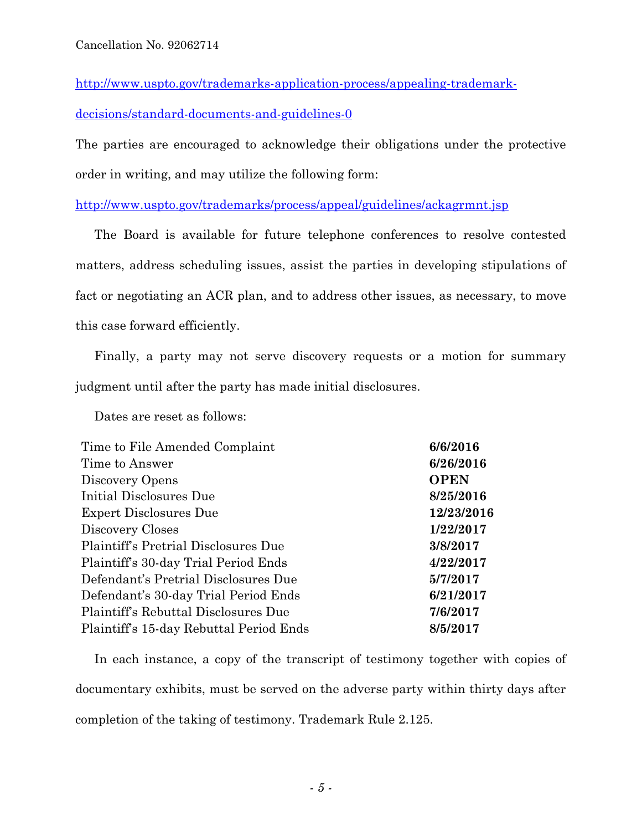http://www.uspto.gov/trademarks-application-process/appealing-trademark-

decisions/standard-documents-and-guidelines-0

The parties are encouraged to acknowledge their obligations under the protective order in writing, and may utilize the following form:

http://www.uspto.gov/trademarks/process/appeal/guidelines/ackagrmnt.jsp

The Board is available for future telephone conferences to resolve contested matters, address scheduling issues, assist the parties in developing stipulations of fact or negotiating an ACR plan, and to address other issues, as necessary, to move this case forward efficiently.

Finally, a party may not serve discovery requests or a motion for summary judgment until after the party has made initial disclosures.

Dates are reset as follows:

| Time to File Amended Complaint          | 6/6/2016    |
|-----------------------------------------|-------------|
| Time to Answer                          | 6/26/2016   |
| Discovery Opens                         | <b>OPEN</b> |
| Initial Disclosures Due                 | 8/25/2016   |
| <b>Expert Disclosures Due</b>           | 12/23/2016  |
| Discovery Closes                        | 1/22/2017   |
| Plaintiff's Pretrial Disclosures Due    | 3/8/2017    |
| Plaintiff's 30-day Trial Period Ends    | 4/22/2017   |
| Defendant's Pretrial Disclosures Due    | 5/7/2017    |
| Defendant's 30-day Trial Period Ends    | 6/21/2017   |
| Plaintiff's Rebuttal Disclosures Due    | 7/6/2017    |
| Plaintiff's 15-day Rebuttal Period Ends | 8/5/2017    |

In each instance, a copy of the transcript of testimony together with copies of documentary exhibits, must be served on the adverse party within thirty days after completion of the taking of testimony. Trademark Rule 2.125.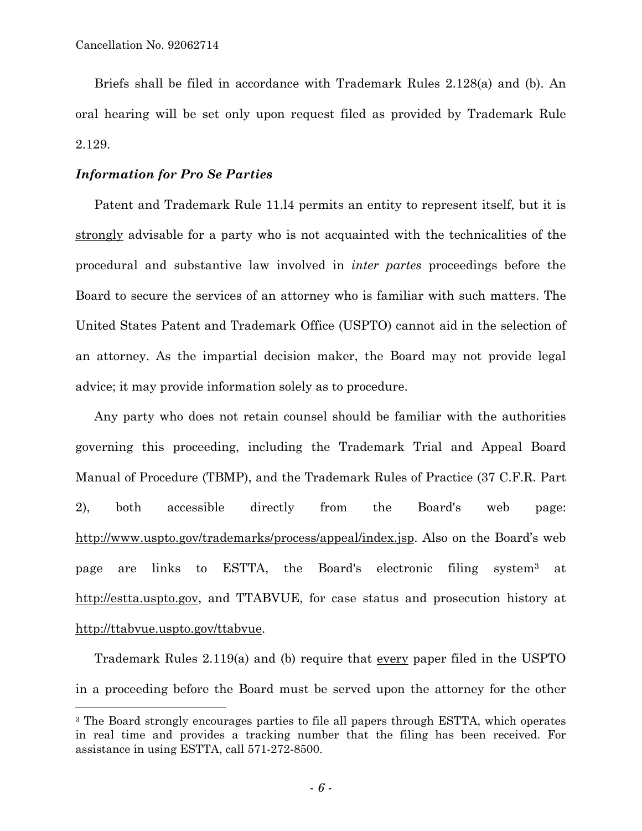a<br>B

Briefs shall be filed in accordance with Trademark Rules 2.128(a) and (b). An oral hearing will be set only upon request filed as provided by Trademark Rule 2.129.

## *Information for Pro Se Parties*

Patent and Trademark Rule 11.l4 permits an entity to represent itself, but it is strongly advisable for a party who is not acquainted with the technicalities of the procedural and substantive law involved in *inter partes* proceedings before the Board to secure the services of an attorney who is familiar with such matters. The United States Patent and Trademark Office (USPTO) cannot aid in the selection of an attorney. As the impartial decision maker, the Board may not provide legal advice; it may provide information solely as to procedure.

Any party who does not retain counsel should be familiar with the authorities governing this proceeding, including the Trademark Trial and Appeal Board Manual of Procedure (TBMP), and the Trademark Rules of Practice (37 C.F.R. Part 2), both accessible directly from the Board's web page: http://www.uspto.gov/trademarks/process/appeal/index.jsp. Also on the Board's web page are links to ESTTA, the Board's electronic filing system3 at http://estta.uspto.gov, and TTABVUE, for case status and prosecution history at http://ttabvue.uspto.gov/ttabvue.

Trademark Rules 2.119(a) and (b) require that every paper filed in the USPTO in a proceeding before the Board must be served upon the attorney for the other

<sup>&</sup>lt;sup>3</sup> The Board strongly encourages parties to file all papers through ESTTA, which operates in real time and provides a tracking number that the filing has been received. For assistance in using ESTTA, call 571-272-8500.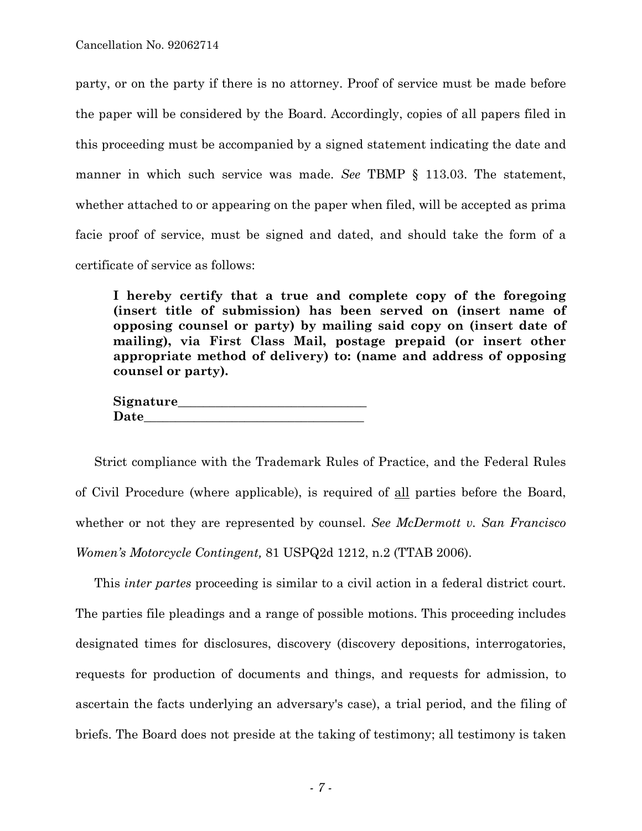party, or on the party if there is no attorney. Proof of service must be made before the paper will be considered by the Board. Accordingly, copies of all papers filed in this proceeding must be accompanied by a signed statement indicating the date and manner in which such service was made. *See* TBMP § 113.03. The statement, whether attached to or appearing on the paper when filed, will be accepted as prima facie proof of service, must be signed and dated, and should take the form of a certificate of service as follows:

**I hereby certify that a true and complete copy of the foregoing (insert title of submission) has been served on (insert name of opposing counsel or party) by mailing said copy on (insert date of mailing), via First Class Mail, postage prepaid (or insert other appropriate method of delivery) to: (name and address of opposing counsel or party).** 

| Signature_ |  |
|------------|--|
| Date       |  |

Strict compliance with the Trademark Rules of Practice, and the Federal Rules of Civil Procedure (where applicable), is required of all parties before the Board, whether or not they are represented by counsel. *See McDermott v. San Francisco Women's Motorcycle Contingent,* 81 USPQ2d 1212, n.2 (TTAB 2006).

This *inter partes* proceeding is similar to a civil action in a federal district court. The parties file pleadings and a range of possible motions. This proceeding includes designated times for disclosures, discovery (discovery depositions, interrogatories, requests for production of documents and things, and requests for admission, to ascertain the facts underlying an adversary's case), a trial period, and the filing of briefs. The Board does not preside at the taking of testimony; all testimony is taken